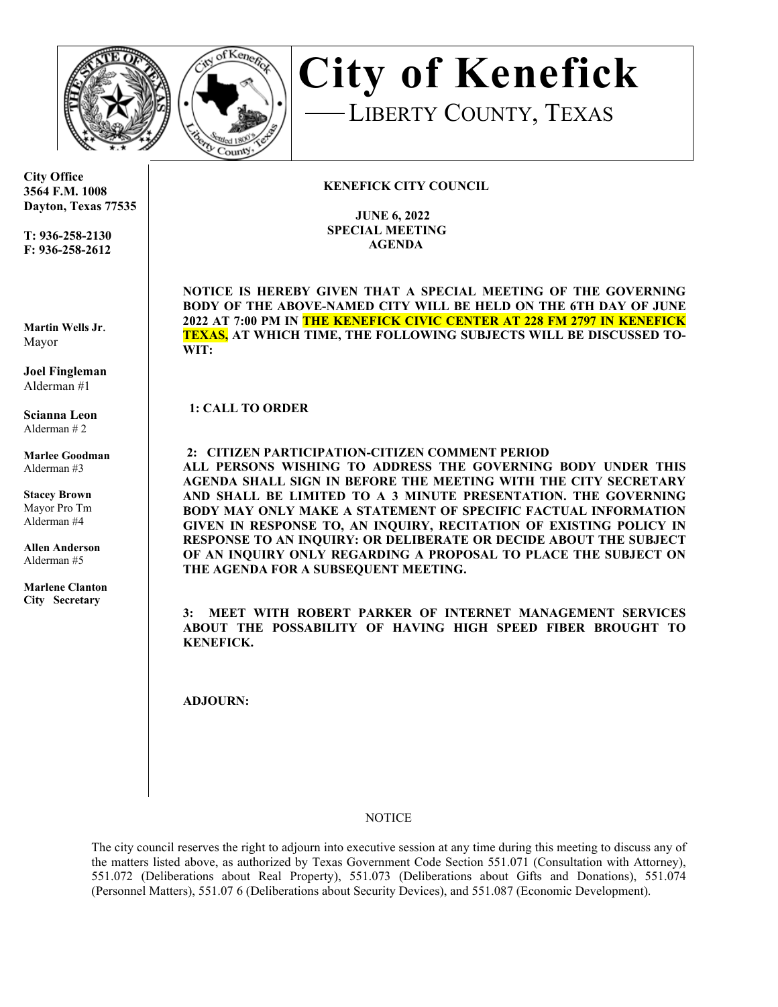



**City of Kenefick**LIBERTY COUNTY, TEXAS

## **KENEFICK CITY COUNCIL**

 **JUNE 6, 2022 SPECIAL MEETING AGENDA**

**NOTICE IS HEREBY GIVEN THAT A SPECIAL MEETING OF THE GOVERNING BODY OF THE ABOVE-NAMED CITY WILL BE HELD ON THE 6TH DAY OF JUNE 2022 AT 7:00 PM IN THE KENEFICK CIVIC CENTER AT 228 FM 2797 IN KENEFICK TEXAS, AT WHICH TIME, THE FOLLOWING SUBJECTS WILL BE DISCUSSED TO-WIT:** 

**1: CALL TO ORDER** 

 **2: CITIZEN PARTICIPATION-CITIZEN COMMENT PERIOD**

**ALL PERSONS WISHING TO ADDRESS THE GOVERNING BODY UNDER THIS AGENDA SHALL SIGN IN BEFORE THE MEETING WITH THE CITY SECRETARY AND SHALL BE LIMITED TO A 3 MINUTE PRESENTATION. THE GOVERNING BODY MAY ONLY MAKE A STATEMENT OF SPECIFIC FACTUAL INFORMATION GIVEN IN RESPONSE TO, AN INQUIRY, RECITATION OF EXISTING POLICY IN RESPONSE TO AN INQUIRY: OR DELIBERATE OR DECIDE ABOUT THE SUBJECT OF AN INQUIRY ONLY REGARDING A PROPOSAL TO PLACE THE SUBJECT ON THE AGENDA FOR A SUBSEQUENT MEETING.**

**3: MEET WITH ROBERT PARKER OF INTERNET MANAGEMENT SERVICES ABOUT THE POSSABILITY OF HAVING HIGH SPEED FIBER BROUGHT TO KENEFICK.**

**ADJOURN:** 

## **NOTICE**

The city council reserves the right to adjourn into executive session at any time during this meeting to discuss any of the matters listed above, as authorized by Texas Government Code Section 551.071 (Consultation with Attorney), 551.072 (Deliberations about Real Property), 551.073 (Deliberations about Gifts and Donations), 551.074 (Personnel Matters), 551.07 6 (Deliberations about Security Devices), and 551.087 (Economic Development).

**City Office 3564 F.M. 1008 Dayton, Texas 77535** 

**T: 936-258-2130 F: 936-258-2612** 

**Martin Wells Jr**. Mayor

**Joel Fingleman**  Alderman #1

**Scianna Leon** Alderman # 2

**Marlee Goodman** Alderman #3

**Stacey Brown**  Mayor Pro Tm Alderman #4

**Allen Anderson** Alderman #5

**Marlene Clanton City Secretary**